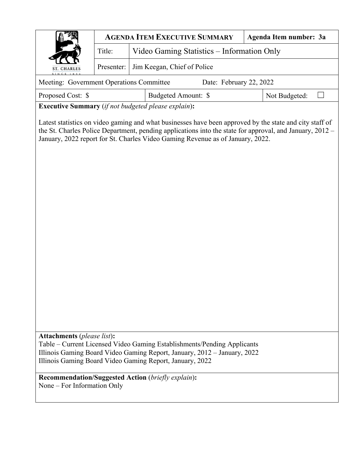|                                                                                                                                                                                                                                                                                                       |                                                      | <b>AGENDA ITEM EXECUTIVE SUMMARY</b>                      | Agenda Item number: 3a |  |  |  |  |  |  |  |
|-------------------------------------------------------------------------------------------------------------------------------------------------------------------------------------------------------------------------------------------------------------------------------------------------------|------------------------------------------------------|-----------------------------------------------------------|------------------------|--|--|--|--|--|--|--|
|                                                                                                                                                                                                                                                                                                       | Video Gaming Statistics - Information Only<br>Title: |                                                           |                        |  |  |  |  |  |  |  |
| ST. CHARLES                                                                                                                                                                                                                                                                                           | Jim Keegan, Chief of Police<br>Presenter:            |                                                           |                        |  |  |  |  |  |  |  |
| Meeting: Government Operations Committee                                                                                                                                                                                                                                                              |                                                      | Date: February 22, 2022                                   |                        |  |  |  |  |  |  |  |
| Proposed Cost: \$<br>Budgeted Amount: \$<br>Not Budgeted:                                                                                                                                                                                                                                             |                                                      |                                                           |                        |  |  |  |  |  |  |  |
| <b>Executive Summary</b> (if not budgeted please explain):                                                                                                                                                                                                                                            |                                                      |                                                           |                        |  |  |  |  |  |  |  |
| Latest statistics on video gaming and what businesses have been approved by the state and city staff of<br>the St. Charles Police Department, pending applications into the state for approval, and January, 2012 –<br>January, 2022 report for St. Charles Video Gaming Revenue as of January, 2022. |                                                      |                                                           |                        |  |  |  |  |  |  |  |
| <b>Attachments</b> (please list):<br>Table – Current Licensed Video Gaming Establishments/Pending Applicants<br>Illinois Gaming Board Video Gaming Report, January, 2012 – January, 2022<br>Illinois Gaming Board Video Gaming Report, January, 2022                                                  |                                                      |                                                           |                        |  |  |  |  |  |  |  |
| None – For Information Only                                                                                                                                                                                                                                                                           |                                                      | <b>Recommendation/Suggested Action (briefly explain):</b> |                        |  |  |  |  |  |  |  |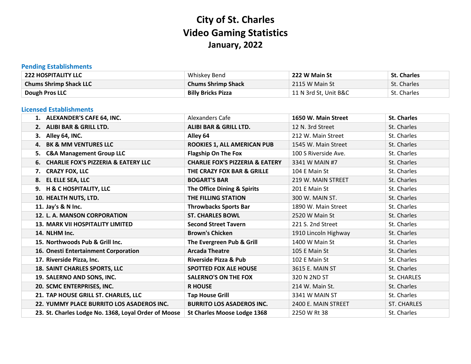# **City of St. Charles Video Gaming Statistics January, 2022**

### **Pending Establishments**

| <b>222 HOSPITALITY LLC</b>    | Whiskey Bend              | 222 W Main St         | <b>St. Charles</b> |
|-------------------------------|---------------------------|-----------------------|--------------------|
| <b>Chums Shrimp Shack LLC</b> | <b>Chums Shrimp Shack</b> | 2115 W Main St        | St. Charles        |
| Dough Pros LLC                | <b>Billy Bricks Pizza</b> | 11 N 3rd St. Unit B&C | St. Charles        |

#### **Licensed Establishments**

| 1. ALEXANDER'S CAFE 64, INC.                         | Alexanders Cafe                            | 1650 W. Main Street  | <b>St. Charles</b> |
|------------------------------------------------------|--------------------------------------------|----------------------|--------------------|
| 2. ALIBI BAR & GRILL LTD.                            | <b>ALIBI BAR &amp; GRILL LTD.</b>          | 12 N. 3rd Street     | St. Charles        |
| 3. Alley 64, INC.                                    | Alley 64                                   | 212 W. Main Street   | St. Charles        |
| 4. BK & MM VENTURES LLC                              | ROOKIES 1, ALL AMERICAN PUB                | 1545 W. Main Street  | St. Charles        |
| 5. C&A Management Group LLC                          | <b>Flagship On The Fox</b>                 | 100 S Riverside Ave. | St. Charles        |
| 6. CHARLIE FOX'S PIZZERIA & EATERY LLC               | <b>CHARLIE FOX'S PIZZERIA &amp; EATERY</b> | 3341 W MAIN #7       | St. Charles        |
| 7. CRAZY FOX, LLC                                    | THE CRAZY FOX BAR & GRILLE                 | 104 E Main St        | St. Charles        |
| 8. EL ELLE SEA, LLC                                  | <b>BOGART'S BAR</b>                        | 219 W. MAIN STREET   | St. Charles        |
| 9. H & C HOSPITALITY, LLC                            | The Office Dining & Spirits                | 201 E Main St        | St. Charles        |
| 10. HEALTH NUTS, LTD.                                | THE FILLING STATION                        | 300 W. MAIN ST.      | St. Charles        |
| 11. Jay's & N Inc.                                   | <b>Throwbacks Sports Bar</b>               | 1890 W. Main Street  | St. Charles        |
| 12. L. A. MANSON CORPORATION                         | <b>ST. CHARLES BOWL</b>                    | 2520 W Main St       | St. Charles        |
| <b>13. MARK VII HOSPITALITY LIMITED</b>              | <b>Second Street Tavern</b>                | 221 S. 2nd Street    | St. Charles        |
| 14. NLHM Inc.                                        | <b>Brown's Chicken</b>                     | 1910 Lincoln Highway | St. Charles        |
| 15. Northwoods Pub & Grill Inc.                      | The Evergreen Pub & Grill                  | 1400 W Main St       | St. Charles        |
| 16. Onesti Entertainment Corporation                 | <b>Arcada Theatre</b>                      | 105 E Main St        | St. Charles        |
| 17. Riverside Pizza, Inc.                            | <b>Riverside Pizza &amp; Pub</b>           | 102 E Main St        | St. Charles        |
| <b>18. SAINT CHARLES SPORTS, LLC</b>                 | <b>SPOTTED FOX ALE HOUSE</b>               | 3615 E. MAIN ST      | St. Charles        |
| 19. SALERNO AND SONS, INC.                           | <b>SALERNO'S ON THE FOX</b>                | 320 N 2ND ST         | St. CHARLES        |
| 20. SCMC ENTERPRISES, INC.                           | <b>R HOUSE</b>                             | 214 W. Main St.      | St. Charles        |
| 21. TAP HOUSE GRILL ST. CHARLES, LLC                 | <b>Tap House Grill</b>                     | 3341 W MAIN ST       | St. Charles        |
| 22. YUMMY PLACE BURRITO LOS ASADEROS INC.            | <b>BURRITO LOS ASADEROS INC.</b>           | 2400 E. MAIN STREET  | ST. CHARLES        |
| 23. St. Charles Lodge No. 1368, Loyal Order of Moose | <b>St Charles Moose Lodge 1368</b>         | 2250 W Rt 38         | St. Charles        |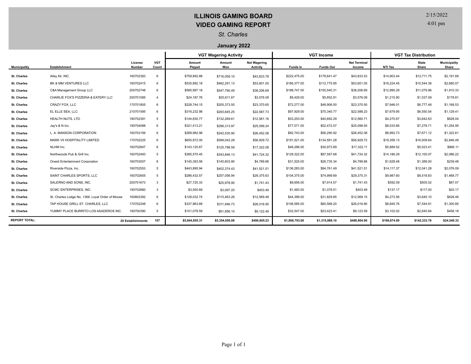# **ILLINOIS GAMING BOARD VIDEO GAMING REPORT**

2/15/2022

4:01 pm

#### *St. Charles*

#### **January 2022**

|                      |                                                  |                          |                     | <b>VGT Wagering Activity</b> |                |                                        | <b>VGT Income</b> |                  |                               | <b>VGT Tax Distribution</b> |                       |                              |
|----------------------|--------------------------------------------------|--------------------------|---------------------|------------------------------|----------------|----------------------------------------|-------------------|------------------|-------------------------------|-----------------------------|-----------------------|------------------------------|
| <b>Municipality</b>  | <b>Establishment</b>                             | License<br><b>Number</b> | <b>VGT</b><br>Count | Amount<br>Played             | Amount<br>Won  | <b>Net Wagering</b><br><b>Activity</b> | Funds In          | <b>Funds Out</b> | <b>Net Terminal</b><br>Income | NTI Tax                     | <b>State</b><br>Share | <b>Municipality</b><br>Share |
| <b>St. Charles</b>   | Alley 64, INC.                                   | 160702383                | 6                   | \$759.892.88                 | \$716,059.10   | \$43,833.78                            | \$222,475.00      | \$178.641.47     | \$43,833.53                   | \$14,903.44                 | \$12,711.75           | \$2,191.69                   |
| <b>St. Charles</b>   | BK & MM VENTURES LLC                             | 160702415                | 6                   | \$535,892.18                 | \$482,291.13   | \$53,601.05                            | \$166,377.00      | \$112,775.95     | \$53,601.05                   | \$18,224.45                 | \$15,544.38           | \$2,680.07                   |
| <b>St. Charles</b>   | C&A Management Group LLC                         | 200702748                | 6                   | \$585,997.18                 | \$547,790.49   | \$38,206.69                            | \$188,747.00      | \$150,540.31     | \$38,206.69                   | \$12,990.29                 | \$11,079.96           | \$1,910.33                   |
| <b>St. Charles</b>   | CHARLIE FOX'S PIZZERIA & EATERY LLC              | 200701085                | $\overline{a}$      | \$24,187.76                  | \$20,611.67    | \$3,576.09                             | \$9,429.00        | \$5,852.91       | \$3,576.09                    | \$1,215.90                  | \$1,037.09            | \$178.81                     |
| <b>St. Charles</b>   | CRAZY FOX. LLC                                   | 170701805                | 6                   | \$228,744.15                 | \$205,373.50   | \$23,370.65                            | \$72,277.00       | \$48,906.50      | \$23,370.50                   | \$7,946.01                  | \$6,777.48            | \$1,168.53                   |
| <b>St. Charles</b>   | EL ELLE SEA. LLC                                 | 210701595                | 6                   | \$316,232.98                 | \$293,645.25   | \$22,587.73                            | \$97,929.00       | \$75,340.77      | \$22,588.23                   | \$7,679.95                  | \$6,550.54            | \$1,129.41                   |
| <b>St. Charles</b>   | HEALTH NUTS, LTD.                                | 180702391                | 5                   | \$144,830.77                 | \$132,269.61   | \$12,561.16                            | \$53,253.00       | \$40,692.29      | \$12,560.71                   | \$4,270.67                  | \$3.642.63            | \$628.04                     |
| <b>St. Charles</b>   | Jay's & N Inc.                                   | 190704088                | 6                   | \$321.413.21                 | \$296,313.97   | \$25,099.24                            | \$77,571.00       | \$52,472.07      | \$25,098.93                   | \$8,533.66                  | \$7,278.71            | \$1,254.95                   |
| <b>St. Charles</b>   | L. A. MANSON CORPORATION                         | 160703156                | 6                   | \$268,982.98                 | \$242,530.90   | \$26,452.08                            | \$82,743.00       | \$56,290.92      | \$26,452.08                   | \$8,993.73                  | \$7,671.12            | \$1,322.61                   |
| <b>St. Charles</b>   | MARK VII HOSPITALITY LIMITED                     | 170702225                | 6                   | \$655,972.00                 | \$599,042.28   | \$56,929.72                            | \$191,521.00      | \$134,591.28     | \$56,929.72                   | \$19,356.13                 | \$16,509.64           | \$2,846.49                   |
| <b>St. Charles</b>   | NLHM Inc.                                        | 160702847                | $\epsilon$          | \$143.120.67                 | \$125,798.59   | \$17,322.08                            | \$48,296.00       | \$30,973.89      | \$17,322.11                   | \$5,889.52                  | \$5.023.41            | \$866.11                     |
| <b>St. Charles</b>   | Northwoods Pub & Grill Inc.                      | 160702493                | 5                   | \$385,570.45                 | \$343,846.13   | \$41,724.32                            | \$129,322.00      | \$87,597.68      | \$41,724.32                   | \$14,186.29                 | \$12.100.07           | \$2,086.22                   |
| <b>St. Charles</b>   | Onesti Entertainment Corporation                 | 160703007                | 6                   | \$145,393.56                 | \$140,603.90   | \$4,789.66                             | \$31,525.00       | \$26,735.34      | \$4,789.66                    | \$1,628.48                  | \$1,389.00            | \$239.48                     |
| <b>St. Charles</b>   | Riverside Pizza, Inc.                            | 160702553                | 5                   | \$443.895.94                 | \$402,374.43   | \$41,521.51                            | \$136,283.00      | \$94,761.49      | \$41,521.51                   | \$14,117,37                 | \$12.041.28           | \$2,076.09                   |
| <b>St. Charles</b>   | SAINT CHARLES SPORTS. LLC                        | 160702605                | 5                   | \$286.432.57                 | \$257,056.94   | \$29,375.63                            | \$104,375.00      | \$74,999.69      | \$29,375.31                   | \$9,987.60                  | \$8,518.83            | \$1,468.77                   |
| <b>St. Charles</b>   | SALERNO AND SONS, INC.                           | 200701673                | 3                   | \$27,720.33                  | \$25,978.90    | \$1,741.43                             | \$9,656.00        | \$7,914.57       | \$1,741.43                    | \$592.09                    | \$505.02              | \$87.07                      |
| <b>St. Charles</b>   | SCMC ENTERPRISES, INC.                           | 190702660                | 3                   | \$3,500.69                   | \$3,097.20     | \$403.49                               | \$1,483.00        | \$1,079.51       | \$403.49                      | \$137.17                    | \$117.00              | \$20.17                      |
| <b>St. Charles</b>   | St. Charles Lodge No. 1368, Loyal Order of Moose | 160802392                | $\epsilon$          | \$128,032.74                 | \$115,463.26   | \$12,569.48                            | \$44,399.00       | \$31,829.85      | \$12,569.15                   | \$4,273.56                  | \$3,645.10            | \$628.46                     |
| <b>St. Charles</b>   | TAP HOUSE GRILL ST. CHARLES, LLC                 | 170702248                | 6                   | \$337,963.68                 | \$311,946.73   | \$26,016.95                            | \$106,585.00      | \$80,568.20      | \$26,016.80                   | \$8,845.76                  | \$7,544.91            | \$1,300.85                   |
| <b>St. Charles</b>   | YUMMY PLACE BURRITO LOS ASADEROS INC.            | 190700390                | 5                   | \$101,078.59                 | \$91,956.10    | \$9,122.49                             | \$32,547.00       | \$23,423.41      | \$9,123.59                    | \$3,102.02                  | \$2,645.84            | \$456.18                     |
| <b>REPORT TOTAL:</b> |                                                  | 20 Establishments        | 107                 | \$5,844,855.31               | \$5,354,050.08 | \$490,805.23                           | \$1,806,793.00    | \$1,315,988.10   | \$490,804.90                  | \$166,874.09                | \$142,333.76          | \$24,540.33                  |